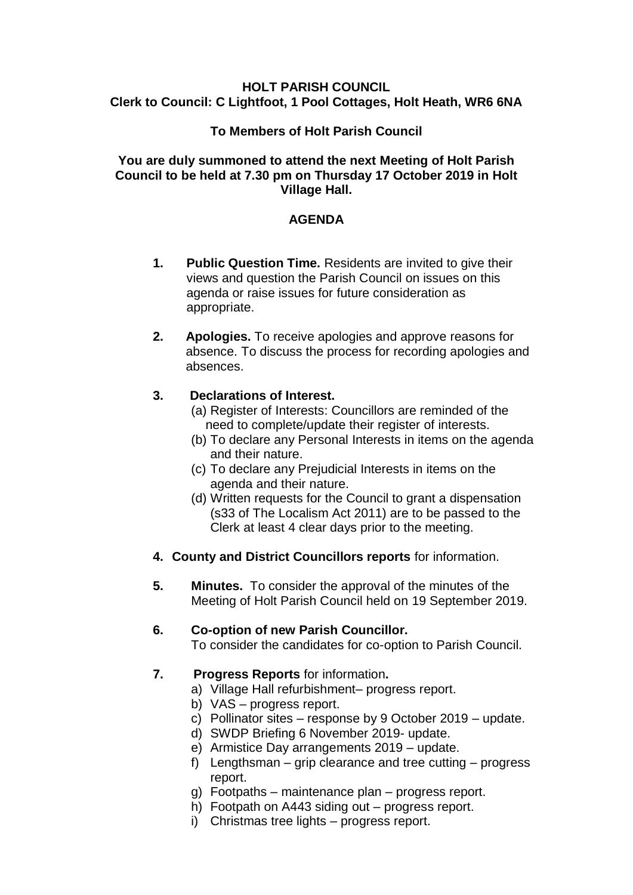#### **HOLT PARISH COUNCIL Clerk to Council: C Lightfoot, 1 Pool Cottages, Holt Heath, WR6 6NA**

### **To Members of Holt Parish Council**

### **You are duly summoned to attend the next Meeting of Holt Parish Council to be held at 7.30 pm on Thursday 17 October 2019 in Holt Village Hall.**

### **AGENDA**

- **1. Public Question Time.** Residents are invited to give their views and question the Parish Council on issues on this agenda or raise issues for future consideration as appropriate.
- **2. Apologies.** To receive apologies and approve reasons for absence. To discuss the process for recording apologies and absences.

### **3. Declarations of Interest.**

- (a) Register of Interests: Councillors are reminded of the need to complete/update their register of interests.
- (b) To declare any Personal Interests in items on the agenda and their nature.
- (c) To declare any Prejudicial Interests in items on the agenda and their nature.
- (d) Written requests for the Council to grant a dispensation (s33 of The Localism Act 2011) are to be passed to the Clerk at least 4 clear days prior to the meeting.
- **4. County and District Councillors reports** for information.
- **5. Minutes.** To consider the approval of the minutes of the Meeting of Holt Parish Council held on 19 September 2019.

### **6. Co-option of new Parish Councillor.**

To consider the candidates for co-option to Parish Council.

# **7. Progress Reports** for information**.**

- a) Village Hall refurbishment– progress report.
- b) VAS progress report.
- c) Pollinator sites response by 9 October 2019 update.
- d) SWDP Briefing 6 November 2019- update.
- e) Armistice Day arrangements 2019 update.
- f) Lengthsman grip clearance and tree cutting progress report.
- g) Footpaths maintenance plan progress report.
- h) Footpath on A443 siding out progress report.
- i) Christmas tree lights progress report.